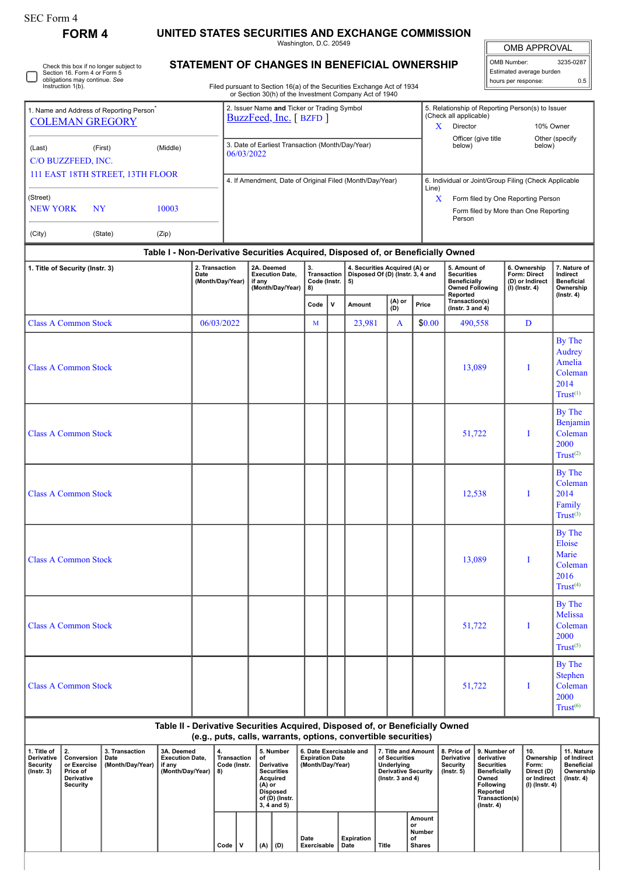| orm<br>. . |
|------------|
|------------|

**FORM 4 UNITED STATES SECURITIES AND EXCHANGE COMMISSION**

Washington, D.C. 20549

OMB APPROVAL

 $\sqrt{\phantom{a}}$ 

| OMB Number:              | 3235-0287 |  |  |  |  |  |  |  |
|--------------------------|-----------|--|--|--|--|--|--|--|
| Estimated average burden |           |  |  |  |  |  |  |  |
| hours per response:      | 0 F       |  |  |  |  |  |  |  |

Stephen Coleman 2000  $Trust<sup>(6)</sup>$ 

Check this box if no longer subject to Section 16. Form 4 or Form 5 obligations may continue. *See* Instruction 1(b).  $\Box$ 

## **STATEMENT OF CHANGES IN BENEFICIAL OWNERSHIP**

Filed pursuant to Section 16(a) of the Securities Exchange Act of 1934

| $\frac{1}{2}$                                                                  |           |                                                                      |                                                  |                                                          | Fired pursuant to Section Total or the Securities Exchange Act of 199-<br>or Section 30(h) of the Investment Company Act of 1940 |                                                |                                                                                                          |                                                                                            |                                                       |        |                                                                                    |                                                                     |                                                                                |
|--------------------------------------------------------------------------------|-----------|----------------------------------------------------------------------|--------------------------------------------------|----------------------------------------------------------|----------------------------------------------------------------------------------------------------------------------------------|------------------------------------------------|----------------------------------------------------------------------------------------------------------|--------------------------------------------------------------------------------------------|-------------------------------------------------------|--------|------------------------------------------------------------------------------------|---------------------------------------------------------------------|--------------------------------------------------------------------------------|
| 1. Name and Address of Reporting Person <sup>®</sup><br><b>COLEMAN GREGORY</b> |           | 2. Issuer Name and Ticker or Trading Symbol<br>BuzzFeed, Inc. [BZFD] |                                                  |                                                          |                                                                                                                                  |                                                | 5. Relationship of Reporting Person(s) to Issuer<br>(Check all applicable)<br>X<br>Director<br>10% Owner |                                                                                            |                                                       |        |                                                                                    |                                                                     |                                                                                |
| (Last)<br>C/O BUZZFEED, INC.                                                   | (First)   | 06/03/2022                                                           | 3. Date of Earliest Transaction (Month/Day/Year) |                                                          |                                                                                                                                  |                                                |                                                                                                          | Officer (give title<br>below)                                                              | Other (specify<br>below)                              |        |                                                                                    |                                                                     |                                                                                |
| 111 EAST 18TH STREET, 13TH FLOOR<br>(Street)                                   |           |                                                                      |                                                  | 4. If Amendment, Date of Original Filed (Month/Day/Year) |                                                                                                                                  |                                                |                                                                                                          | Line)                                                                                      | 6. Individual or Joint/Group Filing (Check Applicable |        |                                                                                    |                                                                     |                                                                                |
| <b>NEW YORK</b>                                                                | <b>NY</b> |                                                                      |                                                  |                                                          |                                                                                                                                  |                                                |                                                                                                          | Form filed by One Reporting Person<br>X<br>Form filed by More than One Reporting<br>Person |                                                       |        |                                                                                    |                                                                     |                                                                                |
| (City)                                                                         | (State)   | (Zip)                                                                |                                                  |                                                          |                                                                                                                                  |                                                |                                                                                                          |                                                                                            |                                                       |        |                                                                                    |                                                                     |                                                                                |
|                                                                                |           |                                                                      |                                                  |                                                          | Table I - Non-Derivative Securities Acquired, Disposed of, or Beneficially Owned                                                 |                                                |                                                                                                          |                                                                                            |                                                       |        |                                                                                    |                                                                     |                                                                                |
| 1. Title of Security (Instr. 3)                                                |           |                                                                      | 2. Transaction<br>Date<br>(Month/Day/Year)       |                                                          | 2A. Deemed<br><b>Execution Date,</b><br>if any<br>(Month/Day/Year)                                                               | 3.<br><b>Transaction</b><br>Code (Instr.<br>8) |                                                                                                          | 4. Securities Acquired (A) or<br>Disposed Of (D) (Instr. 3, 4 and<br>5)                    |                                                       |        | 5. Amount of<br><b>Securities</b><br><b>Beneficially</b><br><b>Owned Following</b> | 6. Ownership<br>Form: Direct<br>(D) or Indirect<br>$(I)$ (Instr. 4) | 7. Nature of<br>Indirect<br><b>Beneficial</b><br>Ownership<br>$($ lnstr. 4 $)$ |
|                                                                                |           |                                                                      |                                                  |                                                          |                                                                                                                                  | Code                                           | $\mathbf{V}$                                                                                             | Amount                                                                                     | $(A)$ or<br>$(D)$                                     | Price  | Reported<br>Transaction(s)<br>$($ Instr. 3 and 4 $)$                               |                                                                     |                                                                                |
| <b>Class A Common Stock</b>                                                    |           |                                                                      | 06/03/2022                                       |                                                          |                                                                                                                                  | $M_{\odot}$                                    |                                                                                                          | 23,981                                                                                     | A                                                     | \$0.00 | 490,558                                                                            | D                                                                   |                                                                                |
| <b>Class A Common Stock</b>                                                    |           |                                                                      |                                                  |                                                          |                                                                                                                                  |                                                |                                                                                                          |                                                                                            |                                                       |        | 13,089                                                                             | I                                                                   | By The<br>Audrey<br>Amelia<br>Coleman<br>2014<br>$Trust^{(1)}$                 |
| <b>Class A Common Stock</b>                                                    |           |                                                                      |                                                  |                                                          |                                                                                                                                  |                                                |                                                                                                          |                                                                                            |                                                       |        | 51,722                                                                             | I                                                                   | By The<br>Benjamin<br>Coleman<br>2000<br>Trust <sup>(2)</sup>                  |
| <b>Class A Common Stock</b>                                                    |           |                                                                      |                                                  |                                                          |                                                                                                                                  |                                                |                                                                                                          |                                                                                            |                                                       |        | 12,538                                                                             | I                                                                   | By The<br>Coleman<br>2014<br>Family<br>Trust <sup>(3)</sup>                    |
| <b>Class A Common Stock</b>                                                    |           |                                                                      |                                                  |                                                          |                                                                                                                                  |                                                |                                                                                                          |                                                                                            |                                                       |        | 13,089                                                                             | I                                                                   | By The<br>Eloise<br>Marie<br>Coleman<br>2016<br>Trust <sup>(4)</sup>           |
| <b>Class A Common Stock</b>                                                    |           |                                                                      |                                                  |                                                          |                                                                                                                                  |                                                |                                                                                                          |                                                                                            |                                                       |        | 51,722                                                                             | I                                                                   | By The<br>Melissa<br>Coleman<br>2000<br>Trust <sup>(5)</sup>                   |
|                                                                                |           |                                                                      |                                                  |                                                          |                                                                                                                                  |                                                |                                                                                                          |                                                                                            |                                                       |        |                                                                                    |                                                                     | By The                                                                         |

Class A Common Stock and the state of the state of the state of the state of the state of the state of the state of the state of the state of the state of the state of the state of the state of the state of the state of th

| Table II - Derivative Securities Acquired, Disposed of, or Beneficially Owned |  |
|-------------------------------------------------------------------------------|--|
| (e.g., puts, calls, warrants, options, convertible securities)                |  |

| 1. Title of<br>Derivative<br>Security<br>(Instr. 3) | Conversion   Date<br>or Exercise<br>Price of<br><b>Derivative</b><br>Security | 3. Transaction<br>(Month/Day/Year) | 3A. Deemed<br><b>Execution Date.</b><br>if anv<br>(Month/Dav/Year) | 4.<br>Transaction<br>Code (Instr.<br>8) |              | 5. Number<br>of<br><b>Derivative</b><br><b>Securities</b><br>Acauired<br>(A) or<br>Disposed<br>of (D) (Instr.<br>$3.4$ and $5)$ |  | 6. Date Exercisable and<br><b>Expiration Date</b><br>(Month/Day/Year) |                    | 7. Title and Amount   8. Price of   9. Number of<br>of Securities<br>Underlying<br><b>Derivative Security</b><br>( $lnstr. 3 and 4$ ) |                                               | <b>Derivative</b><br>Security<br>$($ lnstr. 5 $)$ | derivative<br>Securities<br>Beneficially<br>Owned<br>Following<br>Reported<br>Transaction(s)<br>$($ lnstr. 4 $)$ | ່ 10.<br>Ownership<br>Form:<br>Direct (D)<br>or Indirect<br>(I) (Instr. 4) | 11. Nature<br>of Indirect<br><b>Beneficial</b><br>Ownership<br>(Instr. 4) |
|-----------------------------------------------------|-------------------------------------------------------------------------------|------------------------------------|--------------------------------------------------------------------|-----------------------------------------|--------------|---------------------------------------------------------------------------------------------------------------------------------|--|-----------------------------------------------------------------------|--------------------|---------------------------------------------------------------------------------------------------------------------------------------|-----------------------------------------------|---------------------------------------------------|------------------------------------------------------------------------------------------------------------------|----------------------------------------------------------------------------|---------------------------------------------------------------------------|
|                                                     |                                                                               |                                    |                                                                    | Code                                    | $\mathbf{v}$ | $(A)$ $(D)$                                                                                                                     |  | Date<br>Exercisable                                                   | Expiration<br>Date | Title                                                                                                                                 | Amount<br>or<br>Number<br>οf<br><b>Shares</b> |                                                   |                                                                                                                  |                                                                            |                                                                           |